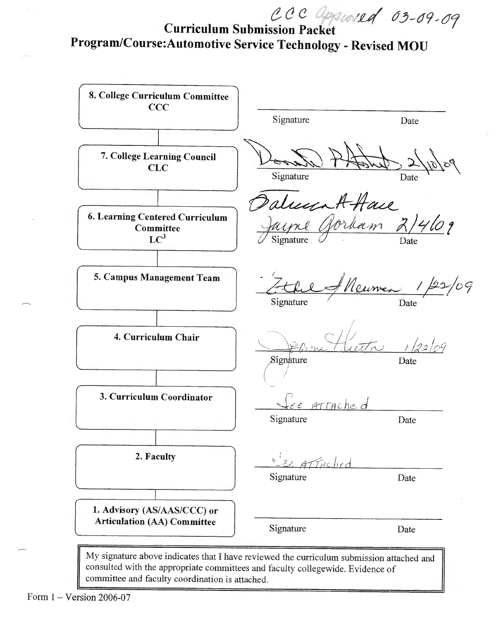*e e Q ppwvLd* 03-09-09<br>Curriculum Submission Packet Program/Course:Automotive Service Technology - Revised MOU



committee and faculty coordination is attached.

Form  $1 -$ Version 2006-07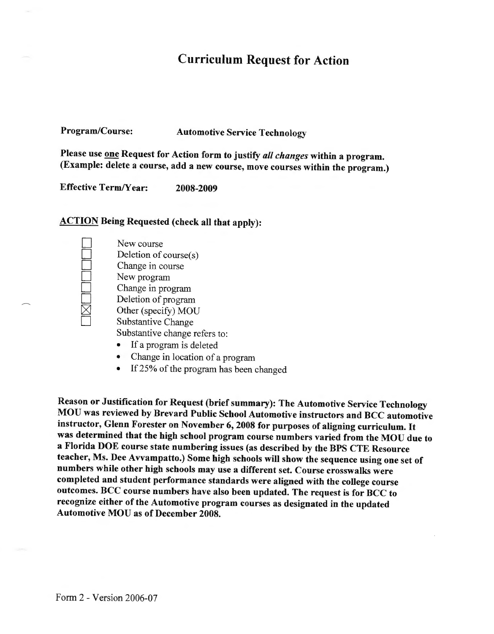# Curriculum Request for Action

Program/Course: Automotive Service Technology

Please use one Request for Action form to justify *all changes* within a program. (Example: delete a course, add a new course, move courses within the program.)

Effective Term/Year: 2008-2009

## ACTION Being Requested (check all that apply):

- New course Deletion of course $(s)$
- Change in course
- New program
- Change in program
- Deletion of program
- Other (specify) MOU
- Substantive Change
	- Substantive change refers to:
	- If a program is deleted
	- Change in location of a program
	- If 25% of the program has been changed

Reason or Justification for Request (brief summary): The Automotive Service Technology MOU was reviewed by Brevard Public School Automotive instructors and BCC automotive instructor, Glenn Forester on November 6, 2008 for purposes of aligning curriculum. It was determined that the high school program course numbers varied from the MOU due to <sup>a</sup>Florida DOE course state numbering issues (as described by the BPS CTE Resource teacher, Ms. Dee Avvampatto.) Some high schools will show the sequence using one set of numbers while other high schools may use a different set. Course crosswalks were completed and student performance standards were aligned with the college course outcomes. HCC course numbers have also been updated. The request is for HCC to recognize either of the Automotive program courses as designated in the updated Automotive MOU as of December 2008.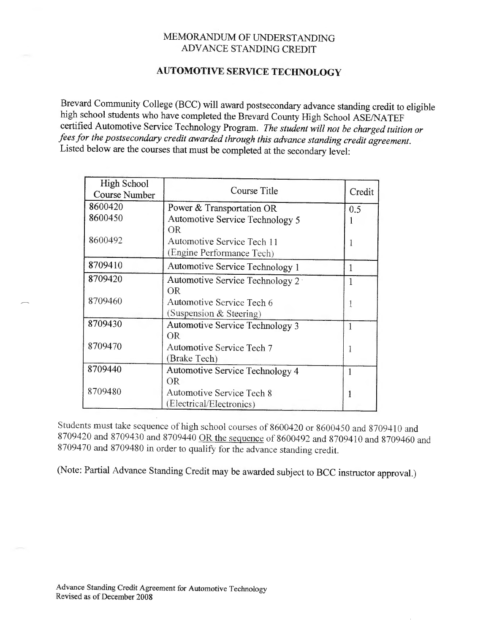#### MEMORANDUM OF UNDERSTANDING ADVANCE STANDING CREDIT

## **AUTOMOTIVE SERVICE TECHNOLOGY**

Brevard Community College (BCC) will award postsecondary advance standing credit to eligible high school students who have completed the Brevard County High School ASE/NATEF certified Automotive Service Technology Program. *The student will not be charged tuition or fees for the postsecondary credit awarded through this advance standing credit agreement.*  Listed below are the courses that must be completed at the secondary level:

| High School          |                                        |        |
|----------------------|----------------------------------------|--------|
| <b>Course Number</b> | <b>Course Title</b>                    | Credit |
| 8600420              | Power & Transportation OR              | 0.5    |
| 8600450              | <b>Automotive Service Technology 5</b> |        |
|                      | OR.                                    |        |
| 8600492              | Automotive Service Tech 11             | 1      |
|                      | (Engine Performance Tech)              |        |
| 8709410              | Automotive Service Technology 1        | 1      |
| 8709420              | Automotive Service Technology 2        |        |
|                      | OR                                     |        |
| 8709460              | Automotive Service Tech 6              | 1      |
|                      | (Suspension $&$ Steering)              |        |
| 8709430              | Automotive Service Technology 3        | 1      |
|                      | OR                                     |        |
| 8709470              | <b>Automotive Service Tech 7</b>       |        |
|                      | (Brake Tech)                           |        |
| 8709440              | Automotive Service Technology 4        |        |
|                      | OR                                     |        |
| 8709480              | <b>Automotive Service Tech 8</b>       |        |
|                      | (Electrical/Electronics)               |        |

Students must take sequence of high schooi courses of 8600420 or 8600450 and 8709410 and 8709420 and 8709430 and 8709440 OR the sequence of 8600492 and 8709410 and 8709460 and 8709470 and 8709480 in order to qualify for the advance standing credit.

(Note: Partial Advance Standing Credit may be awarded subject to BCC instructor approval.)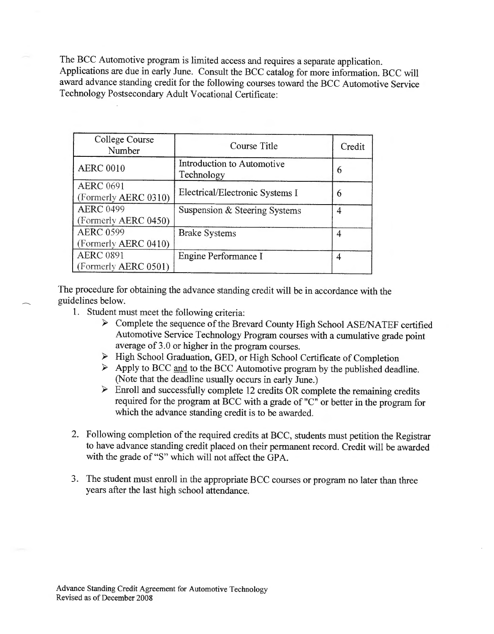The BCC Automotive program is limited access and requires a separate application. Applications are due in early June. Consult the BCC catalog for more information. BCC will award advance standing credit for the following courses toward the BCC Automotive Service Technology Postsecondary Adult Vocational Certificate:

| College Course<br>Number                 | Course Title                             | Credit |
|------------------------------------------|------------------------------------------|--------|
| <b>AERC 0010</b>                         | Introduction to Automotive<br>Technology | 6      |
| <b>AERC 0691</b><br>(Formerly AERC 0310) | Electrical/Electronic Systems I          | 6      |
| <b>AERC 0499</b><br>(Formerly AERC 0450) | Suspension & Steering Systems            | 4      |
| <b>AERC 0599</b><br>(Formerly AERC 0410) | <b>Brake Systems</b>                     | 4      |
| <b>AERC 0891</b><br>(Formerly AERC 0501) | Engine Performance I                     | 4      |

The procedure for obtaining the advance standing credit will be in accordance with the guidelines below.

- 1. Student must meet the following criteria:
	- <sup>~</sup>Complete the sequence of the Brevard County High School ASE/NA TEF certified Automotive Service Technology Program courses with a cumulative grade point average of 3 .0 or higher in the program courses.
	- > High School Graduation, GED, or High School Certificate of Completion
	- > Apply to BCC and to the BCC Automotive program by the published deadline. (Note that the deadline usually occurs in early June.)
	- $\triangleright$  Enroll and successfully complete 12 credits OR complete the remaining credits required for the program at BCC with a grade of "C" or better in the program for which the advance standing credit is to be awarded.
- 2. Following completion of the required credits at BCC, students must petition the Registrar to have advance standing credit placed on their permanent record. Credit will be awarded with the grade of "S" which will not affect the GPA.
- 3. The student must enroll in the appropriate BCC courses or program no later than three years after the last high school attendance.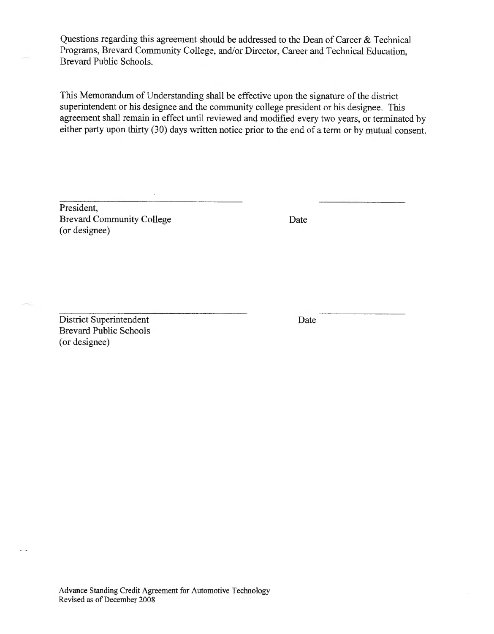Questions regarding this agreement should be addressed to the Dean of Career & Technical Programs, Brevard Community College, and/or Director, Career and Technical Education, Brevard Public Schools.

This Memorandum of Understanding shall be effective upon the signature of the district superintendent or his designee and the community college president or his designee. This agreement shall remain in effect until reviewed and modified every two years, or terminated by either party upon thirty (30) days written notice prior to the end of a term or by mutual consent.

President, Brevard Community College (or designee)

Date

District Superintendent Brevard Public Schools (or designee)

Date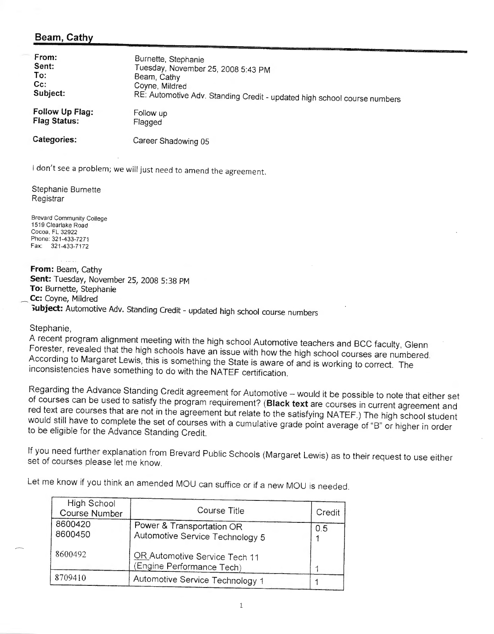## **Beam, Cathy**

| From:               | Burnette, Stephanie                                                      |
|---------------------|--------------------------------------------------------------------------|
| Sent:               | Tuesday, November 25, 2008 5:43 PM                                       |
| To:                 | Beam, Cathy                                                              |
| $Cc$ :              | Coyne, Mildred                                                           |
| Subject:            | RE: Automotive Adv. Standing Credit - updated high school course numbers |
| Follow Up Flag:     | Follow up                                                                |
| <b>Flag Status:</b> | Flagged                                                                  |
| Categories:         | Career Shadowing 05                                                      |

I don't see a problem; we will just need to amend the agreement.

Stephanie Burnette **Registrar** 

Brevard Community College 1519 Clearlake Road Cocoa, FL 32922 Phone: 321-433-7271 Fax: 321-433-7172

**From:** Beam, Cathy **Sent:** Tuesday, November 25, 2008 5:38 PM **To:** Burnette, Stephanie **\_ Cc:** Coyne, Mildred **;ubject:** Automotive Adv. Standing Credit - updated high school course numbers

Stephanie,

A recent program alignment meeting with the high school Automotive teachers and BCC faculty, Glenn Forester, revealed that the high schools have an issue with how the high school courses are numbered. According to Margaret Lewis, this is something the State is aware of and is working to correct. The inconsistencies have something to do with the NATEF certification.

Regarding the Advance Standing Credit agreement for Automotive - would it be possible to note that either set of courses can be used to satisfy the program requirement? **(Black text** are courses in current agreement and red text are courses that are not in the agreement but relate to the satisfying NATEF.) The high school student would still have to complete the set of courses with a cumulative grade point average of "B" or higher in order to be eligible for the Advance Standing Credit.

If you need further explanation from Brevard Public Schools (Margaret Lewis) as to their request to use either set of courses please let me know.

Let me know if you think an amended MOU can suffice or if a new MOU is needed.

| High School<br>Course Number | Course Title                                                 | Credit |
|------------------------------|--------------------------------------------------------------|--------|
| 8600420<br>8600450           | Power & Transportation OR<br>Automotive Service Technology 5 | 0.5    |
| 8600492                      | OR Automotive Service Tech 11<br>(Engine Performance Tech)   |        |
| 8709410                      | Automotive Service Technology 1                              |        |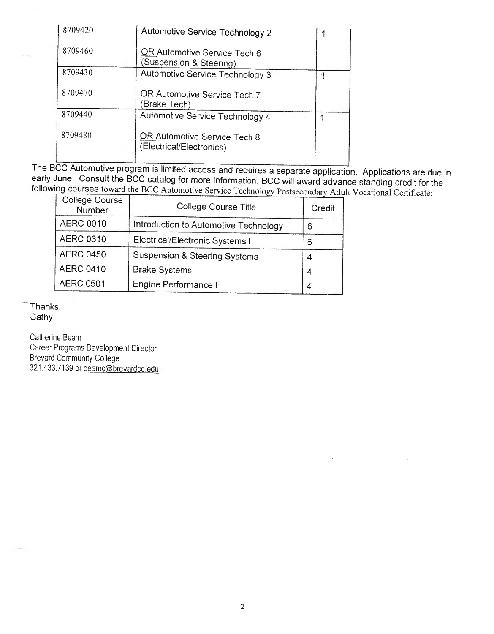| 8709420 | Automotive Service Technology 2                          |  |
|---------|----------------------------------------------------------|--|
| 8709460 | OR Automotive Service Tech 6<br>(Suspension & Steering)  |  |
| 8709430 | Automotive Service Technology 3                          |  |
| 8709470 | <b>OR</b> Automotive Service Tech 7<br>(Brake Tech)      |  |
| 8709440 | Automotive Service Technology 4                          |  |
| 8709480 | OR Automotive Service Tech 8<br>(Electrical/Electronics) |  |
|         |                                                          |  |

The BCC Automotive program is limited access and requires a separate application. Applications are due in early June. Consult the BCC catalog for more information. BCC will award advance standing credit for the following courses toward the BCC Automotive Service Technology Postsecondary Adult Vocational Certificate:

| College Course<br>Number | College Course Title                  | Credit |
|--------------------------|---------------------------------------|--------|
| <b>AERC 0010</b>         | Introduction to Automotive Technology | 6      |
| <b>AERC 0310</b>         | Electrical/Electronic Systems I       |        |
| <b>AERC 0450</b>         | Suspension & Steering Systems         |        |
| <b>AERC 0410</b>         | <b>Brake Systems</b>                  |        |
| <b>AERC 0501</b>         | Engine Performance I                  | 4      |

 $\cdots$ **Cathy** 

Catherine Beam Career Programs Development Director Brevard Community College 321.433.7139 or <u>beamc@brevardcc.edu</u>